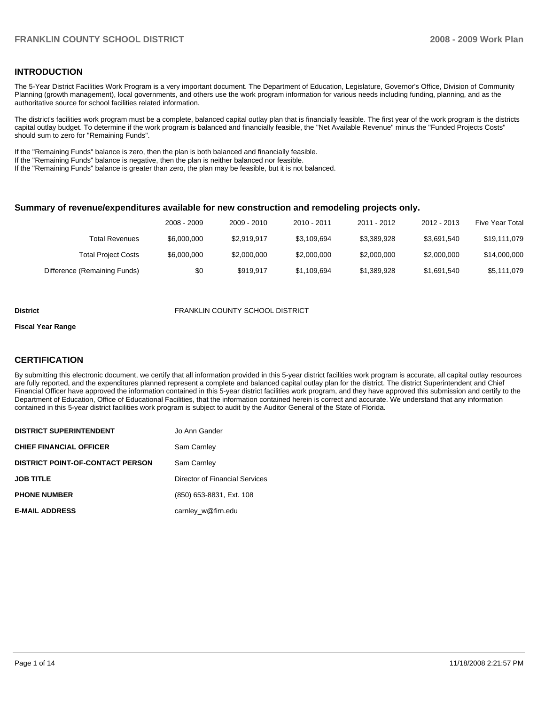# **INTRODUCTION**

The 5-Year District Facilities Work Program is a very important document. The Department of Education, Legislature, Governor's Office, Division of Community Planning (growth management), local governments, and others use the work program information for various needs including funding, planning, and as the authoritative source for school facilities related information.

The district's facilities work program must be a complete, balanced capital outlay plan that is financially feasible. The first year of the work program is the districts capital outlay budget. To determine if the work program is balanced and financially feasible, the "Net Available Revenue" minus the "Funded Projects Costs" should sum to zero for "Remaining Funds".

If the "Remaining Funds" balance is zero, then the plan is both balanced and financially feasible.

If the "Remaining Funds" balance is negative, then the plan is neither balanced nor feasible.

If the "Remaining Funds" balance is greater than zero, the plan may be feasible, but it is not balanced.

#### **Summary of revenue/expenditures available for new construction and remodeling projects only.**

|                              | 2008 - 2009 | 2009 - 2010 | 2010 - 2011 | 2011 - 2012 | 2012 - 2013 | <b>Five Year Total</b> |
|------------------------------|-------------|-------------|-------------|-------------|-------------|------------------------|
| Total Revenues               | \$6,000,000 | \$2.919.917 | \$3,109,694 | \$3.389.928 | \$3.691.540 | \$19,111,079           |
| <b>Total Project Costs</b>   | \$6,000,000 | \$2,000,000 | \$2,000,000 | \$2,000,000 | \$2,000,000 | \$14,000,000           |
| Difference (Remaining Funds) | \$0         | \$919.917   | \$1,109,694 | \$1,389,928 | \$1,691,540 | \$5,111,079            |

#### **District** FRANKLIN COUNTY SCHOOL DISTRICT

#### **Fiscal Year Range**

#### **CERTIFICATION**

By submitting this electronic document, we certify that all information provided in this 5-year district facilities work program is accurate, all capital outlay resources are fully reported, and the expenditures planned represent a complete and balanced capital outlay plan for the district. The district Superintendent and Chief Financial Officer have approved the information contained in this 5-year district facilities work program, and they have approved this submission and certify to the Department of Education, Office of Educational Facilities, that the information contained herein is correct and accurate. We understand that any information contained in this 5-year district facilities work program is subject to audit by the Auditor General of the State of Florida.

| <b>DISTRICT SUPERINTENDENT</b>          | Jo Ann Gander                  |
|-----------------------------------------|--------------------------------|
| <b>CHIEF FINANCIAL OFFICER</b>          | Sam Carnley                    |
| <b>DISTRICT POINT-OF-CONTACT PERSON</b> | Sam Carnley                    |
| <b>JOB TITLE</b>                        | Director of Financial Services |
| <b>PHONE NUMBER</b>                     | (850) 653-8831, Ext. 108       |
| <b>E-MAIL ADDRESS</b>                   | carnley_w@firn.edu             |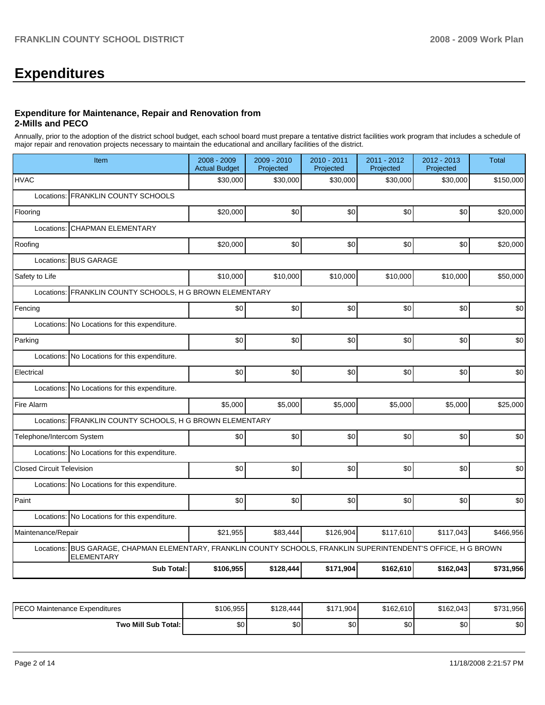# **Expenditures**

#### **Expenditure for Maintenance, Repair and Renovation from 2-Mills and PECO**

Annually, prior to the adoption of the district school budget, each school board must prepare a tentative district facilities work program that includes a schedule of major repair and renovation projects necessary to maintain the educational and ancillary facilities of the district.

| Item                                                                                                                                 |                                                                                                 | 2008 - 2009<br><b>Actual Budget</b> | $2009 - 2010$<br>Projected | 2010 - 2011<br>Projected | 2011 - 2012<br>Projected | $2012 - 2013$<br>Projected | <b>Total</b> |  |  |  |  |
|--------------------------------------------------------------------------------------------------------------------------------------|-------------------------------------------------------------------------------------------------|-------------------------------------|----------------------------|--------------------------|--------------------------|----------------------------|--------------|--|--|--|--|
| <b>HVAC</b>                                                                                                                          |                                                                                                 | \$30,000                            | \$30,000                   | \$30,000                 | \$30,000                 | \$30,000                   | \$150,000    |  |  |  |  |
| Locations: FRANKLIN COUNTY SCHOOLS                                                                                                   |                                                                                                 |                                     |                            |                          |                          |                            |              |  |  |  |  |
| Flooring                                                                                                                             |                                                                                                 | \$20,000                            | \$0                        | \$0                      | \$0                      | \$0                        | \$20,000     |  |  |  |  |
| <b>CHAPMAN ELEMENTARY</b><br>Locations:                                                                                              |                                                                                                 |                                     |                            |                          |                          |                            |              |  |  |  |  |
| Roofing                                                                                                                              |                                                                                                 | \$20,000                            | \$0                        | \$0                      | \$0                      | \$0                        | \$20,000     |  |  |  |  |
| Locations: BUS GARAGE                                                                                                                |                                                                                                 |                                     |                            |                          |                          |                            |              |  |  |  |  |
| Safety to Life                                                                                                                       |                                                                                                 | \$10,000                            | \$10,000                   | \$10,000                 | \$10,000                 | \$10,000                   | \$50,000     |  |  |  |  |
| Locations:                                                                                                                           | FRANKLIN COUNTY SCHOOLS, H G BROWN ELEMENTARY                                                   |                                     |                            |                          |                          |                            |              |  |  |  |  |
| Fencing                                                                                                                              |                                                                                                 | \$0                                 | \$0                        | \$0                      | \$0                      | \$0                        | \$0          |  |  |  |  |
|                                                                                                                                      | Locations: No Locations for this expenditure.                                                   |                                     |                            |                          |                          |                            |              |  |  |  |  |
| Parking                                                                                                                              |                                                                                                 | \$0                                 | \$0                        | \$0                      | \$0                      | \$0                        | \$0          |  |  |  |  |
|                                                                                                                                      | Locations: No Locations for this expenditure.                                                   |                                     |                            |                          |                          |                            |              |  |  |  |  |
| Electrical                                                                                                                           |                                                                                                 | \$0                                 | \$0                        | \$0                      | \$0                      | \$0                        | \$0          |  |  |  |  |
| Locations: No Locations for this expenditure.                                                                                        |                                                                                                 |                                     |                            |                          |                          |                            |              |  |  |  |  |
| Fire Alarm                                                                                                                           |                                                                                                 | \$5,000                             | \$5,000                    | \$5,000                  | \$5,000                  | \$5,000                    | \$25,000     |  |  |  |  |
| Locations: FRANKLIN COUNTY SCHOOLS, H G BROWN ELEMENTARY                                                                             |                                                                                                 |                                     |                            |                          |                          |                            |              |  |  |  |  |
| Telephone/Intercom System                                                                                                            |                                                                                                 | \$0                                 | \$0                        | \$0                      | \$0                      | \$0                        | \$0          |  |  |  |  |
| Locations: No Locations for this expenditure.                                                                                        |                                                                                                 |                                     |                            |                          |                          |                            |              |  |  |  |  |
| <b>Closed Circuit Television</b>                                                                                                     |                                                                                                 | \$0                                 | \$0                        | \$0                      | \$0                      | \$0                        | \$0          |  |  |  |  |
| Locations: No Locations for this expenditure.                                                                                        |                                                                                                 |                                     |                            |                          |                          |                            |              |  |  |  |  |
| Paint                                                                                                                                |                                                                                                 | \$0                                 | \$0                        | \$0                      | \$0                      | \$0                        | \$0          |  |  |  |  |
| Locations: No Locations for this expenditure.                                                                                        |                                                                                                 |                                     |                            |                          |                          |                            |              |  |  |  |  |
| Maintenance/Repair                                                                                                                   |                                                                                                 | \$21,955                            | \$83,444                   | \$126,904                | \$117,610                | \$117,043                  | \$466,956    |  |  |  |  |
| Locations: BUS GARAGE, CHAPMAN ELEMENTARY, FRANKLIN COUNTY SCHOOLS, FRANKLIN SUPERINTENDENT'S OFFICE, H G BROWN<br><b>ELEMENTARY</b> |                                                                                                 |                                     |                            |                          |                          |                            |              |  |  |  |  |
|                                                                                                                                      | <b>Sub Total:</b><br>\$106,955<br>\$128,444<br>\$171,904<br>\$162,610<br>\$731,956<br>\$162,043 |                                     |                            |                          |                          |                            |              |  |  |  |  |

| IPECO Maintenance Expenditures | \$106,955 | \$128,444 | \$171,904        | \$162,610 | \$162,043        | \$731,956 |
|--------------------------------|-----------|-----------|------------------|-----------|------------------|-----------|
| Two Mill Sub Total:            | ሖጣ<br>υΨ  | ΦO<br>νU  | \$0 <sub>1</sub> | ሶስ<br>JU. | \$0 <sub>1</sub> | \$0       |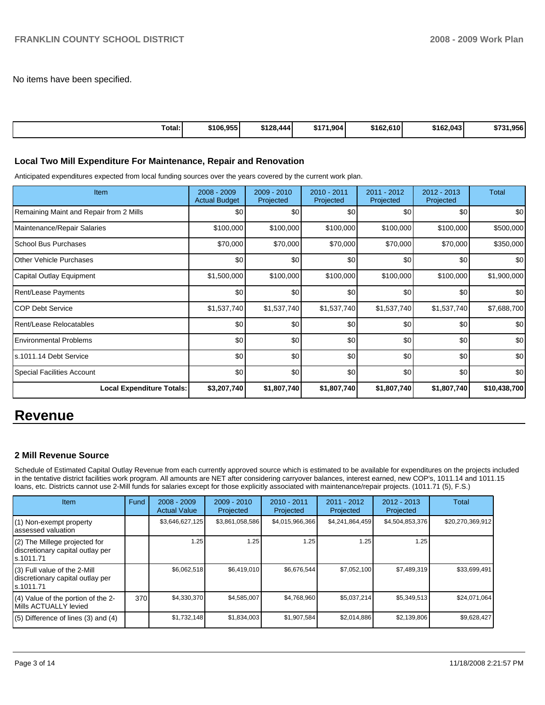No items have been specified.

| Total: | \$106,955 | \$128,444 | \$171,904<br>DI. | \$162.610 | \$162,043 | . 956<br>\$731 |
|--------|-----------|-----------|------------------|-----------|-----------|----------------|
|        |           |           |                  |           |           |                |

# **Local Two Mill Expenditure For Maintenance, Repair and Renovation**

Anticipated expenditures expected from local funding sources over the years covered by the current work plan.

| <b>Item</b>                             | $2008 - 2009$<br><b>Actual Budget</b> | 2009 - 2010<br>Projected | 2010 - 2011<br>Projected | $2011 - 2012$<br>Projected | 2012 - 2013<br>Projected | Total        |
|-----------------------------------------|---------------------------------------|--------------------------|--------------------------|----------------------------|--------------------------|--------------|
| Remaining Maint and Repair from 2 Mills | \$0                                   | \$0                      | \$0                      | \$0                        | \$0 <sub>1</sub>         | \$0          |
| Maintenance/Repair Salaries             | \$100,000                             | \$100,000                | \$100,000                | \$100,000                  | \$100,000                | \$500,000    |
| School Bus Purchases                    | \$70,000                              | \$70,000                 | \$70,000                 | \$70,000                   | \$70,000                 | \$350,000    |
| Other Vehicle Purchases                 | \$0                                   | \$0                      | \$0                      | \$0                        | \$0 <sub>1</sub>         | \$0          |
| Capital Outlay Equipment                | \$1,500,000                           | \$100,000                | \$100,000                | \$100,000                  | \$100,000                | \$1,900,000  |
| Rent/Lease Payments                     | \$0                                   | \$0                      | \$0                      | \$0                        | \$0                      | \$0          |
| <b>COP Debt Service</b>                 | \$1,537,740                           | \$1,537,740              | \$1,537,740              | \$1,537,740                | \$1,537,740              | \$7,688,700  |
| Rent/Lease Relocatables                 | \$0                                   | \$0                      | \$0                      | \$0                        | \$0                      | \$0          |
| <b>Environmental Problems</b>           | \$0                                   | \$0                      | \$0                      | \$0                        | \$0                      | \$0          |
| ls.1011.14 Debt Service                 | \$0                                   | \$0                      | \$0                      | \$0                        | \$0                      | \$0          |
| <b>Special Facilities Account</b>       | \$0                                   | \$0                      | \$0                      | \$0                        | \$0                      | \$0          |
| <b>Local Expenditure Totals:</b>        | \$3,207,740                           | \$1,807,740              | \$1,807,740              | \$1,807,740                | \$1,807,740              | \$10,438,700 |

# **Revenue**

# **2 Mill Revenue Source**

Schedule of Estimated Capital Outlay Revenue from each currently approved source which is estimated to be available for expenditures on the projects included in the tentative district facilities work program. All amounts are NET after considering carryover balances, interest earned, new COP's, 1011.14 and 1011.15 loans, etc. Districts cannot use 2-Mill funds for salaries except for those explicitly associated with maintenance/repair projects. (1011.71 (5), F.S.)

| <b>Item</b>                                                                     | Fund | $2008 - 2009$<br><b>Actual Value</b> | $2009 - 2010$<br>Projected | $2010 - 2011$<br>Projected | 2011 - 2012<br>Projected | $2012 - 2013$<br>Projected | <b>Total</b>     |
|---------------------------------------------------------------------------------|------|--------------------------------------|----------------------------|----------------------------|--------------------------|----------------------------|------------------|
| (1) Non-exempt property<br>lassessed valuation                                  |      | \$3,646,627,125                      | \$3,861,058,586            | \$4,015,966,366            | \$4,241,864,459          | \$4,504,853,376            | \$20,270,369,912 |
| (2) The Millege projected for<br>discretionary capital outlay per<br>ls.1011.71 |      | 1.25                                 | 1.25                       | 1.25                       | l.25                     | 1.25                       |                  |
| (3) Full value of the 2-Mill<br>discretionary capital outlay per<br>ls.1011.71  |      | \$6,062,518                          | \$6,419,010                | \$6,676,544                | \$7,052,100              | \$7,489,319                | \$33,699,491     |
| (4) Value of the portion of the 2-<br>Mills ACTUALLY levied                     | 370  | \$4,330,370                          | \$4,585,007                | \$4,768,960                | \$5,037,214              | \$5,349,513                | \$24,071,064     |
| $(5)$ Difference of lines (3) and (4)                                           |      | \$1,732,148                          | \$1,834,003                | \$1,907,584                | \$2,014,886              | \$2,139,806                | \$9,628,427      |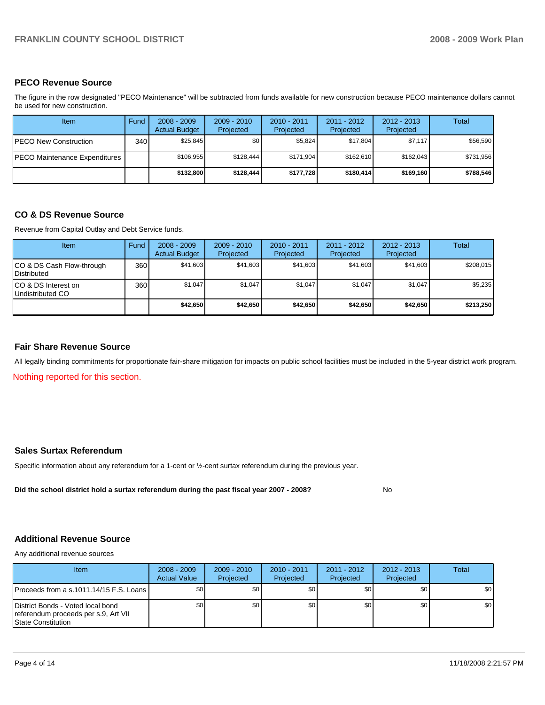# **PECO Revenue Source**

The figure in the row designated "PECO Maintenance" will be subtracted from funds available for new construction because PECO maintenance dollars cannot be used for new construction.

| Item                          | Fund  | $2008 - 2009$<br><b>Actual Budget</b> | $2009 - 2010$<br>Projected | $2010 - 2011$<br>Projected | 2011 - 2012<br>Projected | $2012 - 2013$<br>Projected | Total     |
|-------------------------------|-------|---------------------------------------|----------------------------|----------------------------|--------------------------|----------------------------|-----------|
| PECO New Construction         | 340 l | \$25.845                              | \$0 <sub>1</sub>           | \$5.824                    | \$17.804                 | \$7,117                    | \$56,590  |
| PECO Maintenance Expenditures |       | \$106.955                             | \$128.444                  | \$171.904                  | \$162.610                | \$162.043                  | \$731,956 |
|                               |       | \$132,800                             | \$128,444                  | \$177.728                  | \$180.414                | \$169.160                  | \$788,546 |

#### **CO & DS Revenue Source**

Revenue from Capital Outlay and Debt Service funds.

| Item                                               | Fund | $2008 - 2009$<br><b>Actual Budget</b> | $2009 - 2010$<br>Projected | $2010 - 2011$<br>Projected | $2011 - 2012$<br>Projected | $2012 - 2013$<br>Projected | Total     |
|----------------------------------------------------|------|---------------------------------------|----------------------------|----------------------------|----------------------------|----------------------------|-----------|
| ICO & DS Cash Flow-through<br><b>I</b> Distributed | 360  | \$41,603                              | \$41,603                   | \$41.603                   | \$41,603                   | \$41,603                   | \$208,015 |
| ICO & DS Interest on<br>Undistributed CO           | 360  | \$1,047                               | \$1.047                    | \$1,047                    | \$1.047                    | \$1,047                    | \$5,235   |
|                                                    |      | \$42,650                              | \$42.650                   | \$42.650                   | \$42.650                   | \$42,650                   | \$213,250 |

#### **Fair Share Revenue Source**

All legally binding commitments for proportionate fair-share mitigation for impacts on public school facilities must be included in the 5-year district work program.

Nothing reported for this section.

### **Sales Surtax Referendum**

Specific information about any referendum for a 1-cent or ½-cent surtax referendum during the previous year.

**Did the school district hold a surtax referendum during the past fiscal year 2007 - 2008?** No

# **Additional Revenue Source**

Any additional revenue sources

| <b>Item</b>                                                                                             | $2008 - 2009$<br><b>Actual Value</b> | $2009 - 2010$<br>Projected | $2010 - 2011$<br>Projected | $2011 - 2012$<br>Projected | $2012 - 2013$<br>Projected | Total |
|---------------------------------------------------------------------------------------------------------|--------------------------------------|----------------------------|----------------------------|----------------------------|----------------------------|-------|
| IProceeds from a s.1011.14/15 F.S. Loans I                                                              | \$0 <sub>1</sub>                     | \$0                        | \$0                        | \$0                        | \$0                        | \$0   |
| District Bonds - Voted local bond<br>referendum proceeds per s.9, Art VII<br><b>IState Constitution</b> | \$0 <sub>1</sub>                     | \$0                        | \$0                        | \$0 <sub>1</sub>           | \$0                        | \$0   |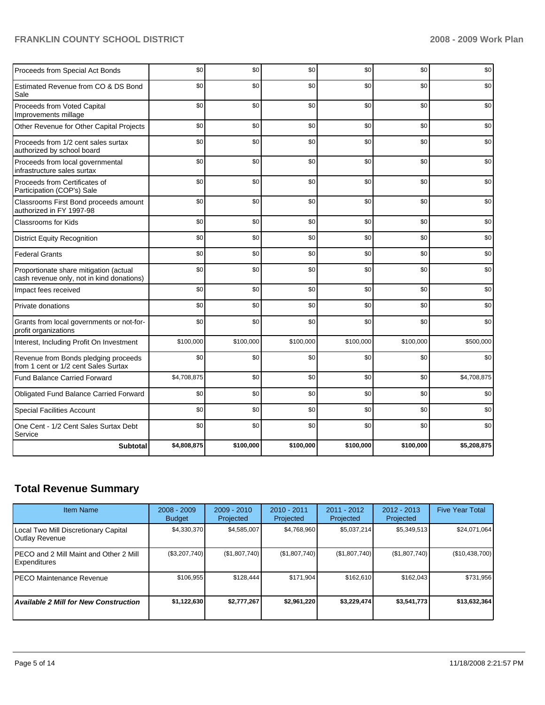# **FRANKLIN COUNTY SCHOOL DISTRICT 2008 - 2009 Work Plan**

| Proceeds from Special Act Bonds                                                     | \$0         | \$0       | \$0       | \$0       | \$0       | \$0         |
|-------------------------------------------------------------------------------------|-------------|-----------|-----------|-----------|-----------|-------------|
| Estimated Revenue from CO & DS Bond<br>Sale                                         | \$0         | \$0       | \$0       | \$0       | \$0       | \$0         |
| Proceeds from Voted Capital<br>Improvements millage                                 | \$0         | \$0       | \$0       | \$0       | \$0       | \$0         |
| Other Revenue for Other Capital Projects                                            | \$0         | \$0       | \$0       | \$0       | \$0       | \$0         |
| Proceeds from 1/2 cent sales surtax<br>authorized by school board                   | \$0         | \$0       | \$0       | \$0       | \$0       | \$0         |
| Proceeds from local governmental<br>infrastructure sales surtax                     | \$0         | \$0       | \$0       | \$0       | \$0       | \$0         |
| Proceeds from Certificates of<br>Participation (COP's) Sale                         | \$0         | \$0       | \$0       | \$0       | \$0       | \$0         |
| Classrooms First Bond proceeds amount<br>authorized in FY 1997-98                   | \$0         | \$0       | \$0       | \$0       | \$0       | \$0         |
| Classrooms for Kids                                                                 | \$0         | \$0       | \$0       | \$0       | \$0       | \$0         |
| <b>District Equity Recognition</b>                                                  | \$0         | \$0       | \$0       | \$0       | \$0       | \$0         |
| <b>Federal Grants</b>                                                               | \$0         | \$0       | \$0       | \$0       | \$0       | \$0         |
| Proportionate share mitigation (actual<br>cash revenue only, not in kind donations) | \$0         | \$0       | \$0       | \$0       | \$0       | \$0         |
| Impact fees received                                                                | \$0         | \$0       | \$0       | \$0       | \$0       | \$0         |
| Private donations                                                                   | \$0         | \$0       | \$0       | \$0       | \$0       | \$0         |
| Grants from local governments or not-for-<br>profit organizations                   | \$0         | \$0       | \$0       | \$0       | \$0       | \$0         |
| Interest, Including Profit On Investment                                            | \$100,000   | \$100,000 | \$100,000 | \$100,000 | \$100,000 | \$500,000   |
| Revenue from Bonds pledging proceeds<br>from 1 cent or 1/2 cent Sales Surtax        | \$0         | \$0       | \$0       | \$0       | \$0       | \$0         |
| Fund Balance Carried Forward                                                        | \$4,708,875 | \$0       | \$0       | \$0       | \$0       | \$4,708,875 |
| Obligated Fund Balance Carried Forward                                              | \$0         | \$0       | \$0       | \$0       | \$0       | \$0         |
| <b>Special Facilities Account</b>                                                   | \$0         | \$0       | \$0       | \$0       | \$0       | \$0         |
| One Cent - 1/2 Cent Sales Surtax Debt<br>Service                                    | \$0         | \$0       | \$0       | \$0       | \$0       | \$0         |
| <b>Subtotal</b>                                                                     | \$4,808,875 | \$100,000 | \$100,000 | \$100,000 | \$100,000 | \$5,208,875 |

# **Total Revenue Summary**

| <b>Item Name</b>                                        | $2008 - 2009$<br><b>Budget</b> | $2009 - 2010$<br>Projected | $2010 - 2011$<br>Projected | $2011 - 2012$<br>Projected | $2012 - 2013$<br>Projected | <b>Five Year Total</b> |
|---------------------------------------------------------|--------------------------------|----------------------------|----------------------------|----------------------------|----------------------------|------------------------|
| Local Two Mill Discretionary Capital<br>Outlay Revenue  | \$4,330,370                    | \$4,585,007                | \$4,768,960                | \$5,037,214                | \$5,349,513                | \$24,071,064           |
| IPECO and 2 Mill Maint and Other 2 Mill<br>Expenditures | (\$3,207,740)                  | (\$1,807,740)              | (\$1,807,740)              | (\$1,807,740)              | (\$1,807,740)              | (\$10,438,700)         |
| <b>IPECO Maintenance Revenue</b>                        | \$106,955                      | \$128.444                  | \$171.904                  | \$162.610                  | \$162,043                  | \$731,956              |
| <b>Available 2 Mill for New Construction</b>            | \$1,122,630                    | \$2,777,267                | \$2,961.220                | \$3,229,474                | \$3,541,773                | \$13,632,364           |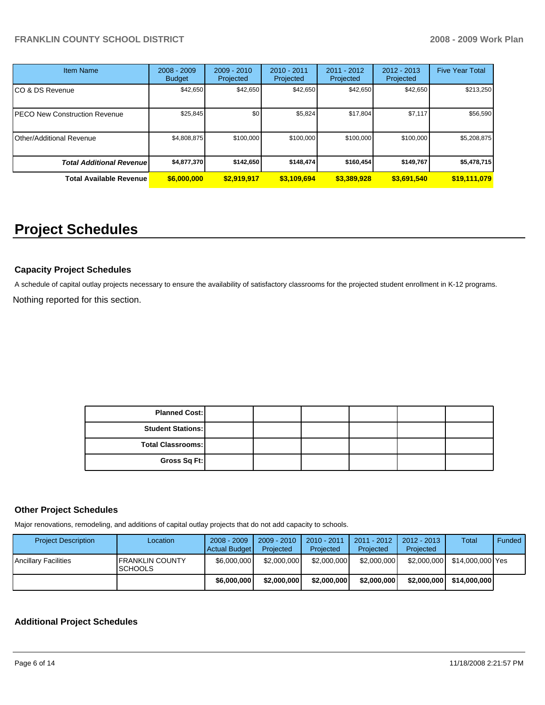| <b>Item Name</b>                 | $2008 - 2009$<br><b>Budget</b> | $2009 - 2010$<br>Projected | $2010 - 2011$<br>Projected | 2011 - 2012<br>Projected | $2012 - 2013$<br>Projected | <b>Five Year Total</b> |
|----------------------------------|--------------------------------|----------------------------|----------------------------|--------------------------|----------------------------|------------------------|
| CO & DS Revenue                  | \$42,650                       | \$42,650                   | \$42,650                   | \$42,650                 | \$42,650                   | \$213,250              |
| PECO New Construction Revenue    | \$25,845                       | \$0                        | \$5,824                    | \$17.804                 | \$7,117                    | \$56,590               |
| Other/Additional Revenue         | \$4,808,875                    | \$100,000                  | \$100.000                  | \$100,000                | \$100,000                  | \$5,208,875            |
| <b>Total Additional Revenuel</b> | \$4,877,370                    | \$142,650                  | \$148.474                  | \$160,454                | \$149.767                  | \$5,478,715            |
| <b>Total Available Revenue</b>   | \$6,000,000                    | \$2,919,917                | \$3,109,694                | \$3,389,928              | \$3,691,540                | \$19,111,079           |

# **Project Schedules**

# **Capacity Project Schedules**

A schedule of capital outlay projects necessary to ensure the availability of satisfactory classrooms for the projected student enrollment in K-12 programs. Nothing reported for this section.

> **Planned Cost: Student Stations: Total Classrooms: Gross Sq Ft:**

# **Other Project Schedules**

Major renovations, remodeling, and additions of capital outlay projects that do not add capacity to schools.

| <b>Project Description</b> | Location                                  | $2008 - 2009$<br>Actual Budget | $2009 - 2010$<br>Projected | 2010 - 2011<br>Projected | 2011 - 2012<br>Projected | 2012 - 2013<br>Projected | Total            | Funded |
|----------------------------|-------------------------------------------|--------------------------------|----------------------------|--------------------------|--------------------------|--------------------------|------------------|--------|
| Ancillary Facilities       | <b>IFRANKLIN COUNTY</b><br><b>SCHOOLS</b> | \$6,000,000                    | \$2,000,000                | \$2,000,000              | \$2,000,000              | \$2,000,000              | \$14,000,000 Yes |        |
|                            |                                           | \$6,000,000                    | \$2,000,000                | \$2,000,000              | \$2,000,000              | \$2,000,000              | \$14,000,000     |        |

# **Additional Project Schedules**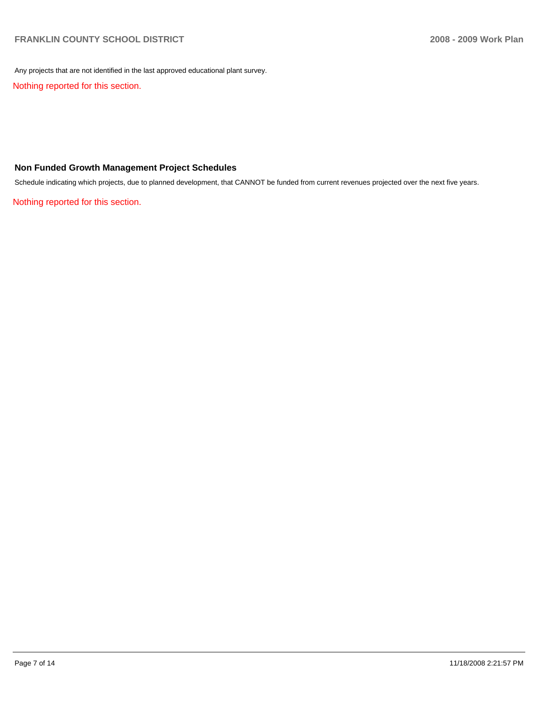Any projects that are not identified in the last approved educational plant survey.

Nothing reported for this section.

# **Non Funded Growth Management Project Schedules**

Schedule indicating which projects, due to planned development, that CANNOT be funded from current revenues projected over the next five years.

Nothing reported for this section.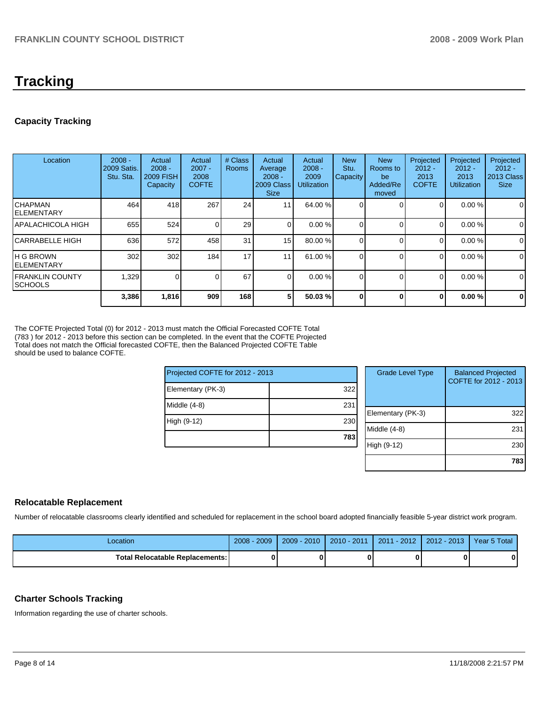# **Tracking**

# **Capacity Tracking**

| Location                     | $2008 -$<br>2009 Satis.<br>Stu. Sta. | Actual<br>$2008 -$<br><b>2009 FISH</b><br><b>Capacity</b> | Actual<br>$2007 -$<br>2008<br><b>COFTE</b> | # Class<br><b>Rooms</b> | Actual<br>Average<br>$2008 -$<br>2009 Class<br><b>Size</b> | Actual<br>$2008 -$<br>2009<br><b>Utilization</b> | <b>New</b><br>Stu.<br>Capacity | <b>New</b><br>Rooms to<br>be<br>Added/Re<br>moved | Projected<br>$2012 -$<br>2013<br><b>COFTE</b> | Projected<br>$2012 -$<br>2013<br><b>Utilization</b> | Projected<br>$2012 -$<br>2013 Class<br><b>Size</b> |
|------------------------------|--------------------------------------|-----------------------------------------------------------|--------------------------------------------|-------------------------|------------------------------------------------------------|--------------------------------------------------|--------------------------------|---------------------------------------------------|-----------------------------------------------|-----------------------------------------------------|----------------------------------------------------|
| ICHAPMAN<br>IELEMENTARY      | 464                                  | 418                                                       | 267                                        | 24                      | 11                                                         | 64.00 %                                          |                                |                                                   | 0                                             | 0.00%                                               | 0                                                  |
| IAPALACHICOLA HIGH           | 655                                  | 524                                                       |                                            | 29                      | $\overline{0}$                                             | 0.00%                                            |                                | $\Omega$                                          | 0                                             | 0.00%                                               | 0                                                  |
| lCARRABELLE HIGH             | 636                                  | 572                                                       | 458                                        | 31                      | 15 <sup>1</sup>                                            | 80.00 %                                          |                                | $\Omega$                                          | 0                                             | 0.00%                                               | $\mathbf 0$                                        |
| IH G BROWN<br>IELEMENTARY    | 302                                  | 302                                                       | 184                                        | 17                      | 11                                                         | 61.00 %                                          |                                | $\Omega$                                          | 0                                             | 0.00%                                               | $\mathbf 0$                                        |
| IFRANKLIN COUNTY<br>ISCHOOLS | 1,329                                | $\Omega$                                                  |                                            | 67                      | $\Omega$                                                   | 0.00%                                            |                                | $\Omega$                                          | $\Omega$                                      | 0.00%                                               | $\mathbf 0$                                        |
|                              | 3,386                                | 1,816                                                     | 909                                        | 168                     | 5                                                          | 50.03 %                                          | $\bf{0}$                       | 0                                                 | 0                                             | 0.00%                                               | $\bf{0}$                                           |

The COFTE Projected Total (0) for 2012 - 2013 must match the Official Forecasted COFTE Total (783 ) for 2012 - 2013 before this section can be completed. In the event that the COFTE Projected Total does not match the Official forecasted COFTE, then the Balanced Projected COFTE Table should be used to balance COFTE.

| Projected COFTE for 2012 - 2013 |     | <b>Grade Level Type</b> | <b>Balanced Projected</b><br>COFTE for 2012 - 2013 |
|---------------------------------|-----|-------------------------|----------------------------------------------------|
| Elementary (PK-3)               | 322 |                         |                                                    |
| Middle (4-8)                    | 231 |                         |                                                    |
|                                 |     | Elementary (PK-3)       | 322                                                |
| High (9-12)                     | 230 |                         |                                                    |
|                                 |     | Middle (4-8)            | 231                                                |
|                                 | 783 |                         |                                                    |
|                                 |     | High (9-12)             | 230                                                |
|                                 |     |                         |                                                    |
|                                 |     |                         | 783                                                |

#### **Relocatable Replacement**

Number of relocatable classrooms clearly identified and scheduled for replacement in the school board adopted financially feasible 5-year district work program.

| _ocation                                 | $-2009$<br>$2008 -$ | $2009 - 2010$ | $2010 - 2011$ | 1 - 2012  <br>2011 | $2012 - 2013$ | Year 5 Total |
|------------------------------------------|---------------------|---------------|---------------|--------------------|---------------|--------------|
| <b>Total Relocatable Replacements: I</b> |                     |               |               |                    |               |              |

# **Charter Schools Tracking**

Information regarding the use of charter schools.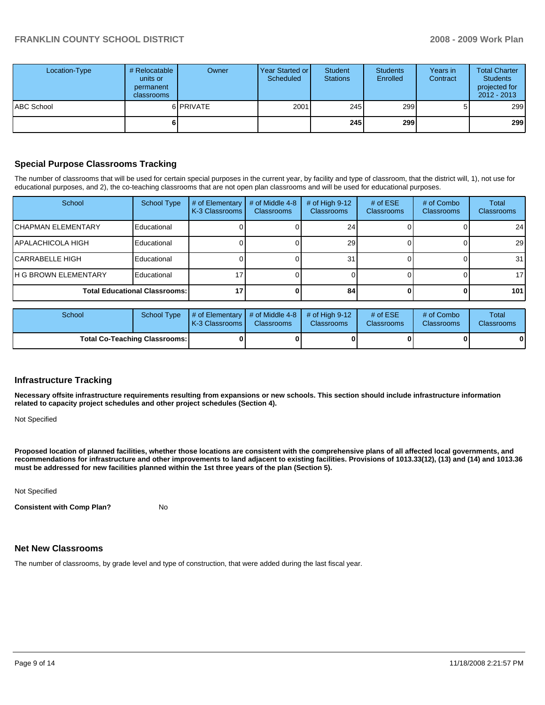| Location-Type | # Relocatable  <br>units or<br>permanent<br><b>classrooms</b> | Owner     | Year Started or<br>Scheduled | Student<br><b>Stations</b> | <b>Students</b><br>Enrolled | Years in<br>Contract | <b>Total Charter</b><br><b>Students</b><br>projected for<br>$2012 - 2013$ |
|---------------|---------------------------------------------------------------|-----------|------------------------------|----------------------------|-----------------------------|----------------------|---------------------------------------------------------------------------|
| ABC School    |                                                               | 6 PRIVATE | 2001                         | 245                        | 299                         |                      | 299                                                                       |
|               | 6                                                             |           |                              | 245                        | 299 l                       |                      | 299                                                                       |

# **Special Purpose Classrooms Tracking**

The number of classrooms that will be used for certain special purposes in the current year, by facility and type of classroom, that the district will, 1), not use for educational purposes, and 2), the co-teaching classrooms that are not open plan classrooms and will be used for educational purposes.

| School                               | <b>School Type</b> | # of Elementary<br>K-3 Classrooms | # of Middle 4-8<br><b>Classrooms</b> | # of High $9-12$<br><b>Classrooms</b> | # of $ESE$<br><b>Classrooms</b> | # of Combo<br><b>Classrooms</b> | Total<br><b>Classrooms</b> |
|--------------------------------------|--------------------|-----------------------------------|--------------------------------------|---------------------------------------|---------------------------------|---------------------------------|----------------------------|
| <b>ICHAPMAN ELEMENTARY</b>           | Educational        |                                   |                                      | 241                                   |                                 |                                 | 24 <sub>l</sub>            |
| IAPALACHICOLA HIGH                   | Educational        |                                   |                                      | 29                                    |                                 |                                 | <b>29</b>                  |
| ICARRABELLE HIGH                     | Educational        |                                   |                                      | 31                                    |                                 |                                 | 31 <sup>1</sup>            |
| <b>IH G BROWN ELEMENTARY</b>         | Educational        |                                   |                                      |                                       |                                 |                                 | 17 <sup>1</sup>            |
| <b>Total Educational Classrooms:</b> |                    |                                   |                                      | 84                                    |                                 |                                 | 101 <sup>1</sup>           |

| School                               | School Type | $\parallel$ # of Elementary $\parallel$ # of Middle 4-8 $\parallel$ # of High 9-12<br><b>IK-3 Classrooms I</b> | <b>Classrooms</b> | <b>Classrooms</b> | $#$ of ESE<br><b>Classrooms</b> | # of Combo<br><b>Classrooms</b> | Total<br><b>Classrooms</b> |
|--------------------------------------|-------------|----------------------------------------------------------------------------------------------------------------|-------------------|-------------------|---------------------------------|---------------------------------|----------------------------|
| <b>Total Co-Teaching Classrooms:</b> |             |                                                                                                                | 01                |                   |                                 | 0                               | 0                          |

#### **Infrastructure Tracking**

**Necessary offsite infrastructure requirements resulting from expansions or new schools. This section should include infrastructure information related to capacity project schedules and other project schedules (Section 4).** 

Not Specified

**Proposed location of planned facilities, whether those locations are consistent with the comprehensive plans of all affected local governments, and recommendations for infrastructure and other improvements to land adjacent to existing facilities. Provisions of 1013.33(12), (13) and (14) and 1013.36 must be addressed for new facilities planned within the 1st three years of the plan (Section 5).** 

Not Specified

**Consistent with Comp Plan?** No

# **Net New Classrooms**

The number of classrooms, by grade level and type of construction, that were added during the last fiscal year.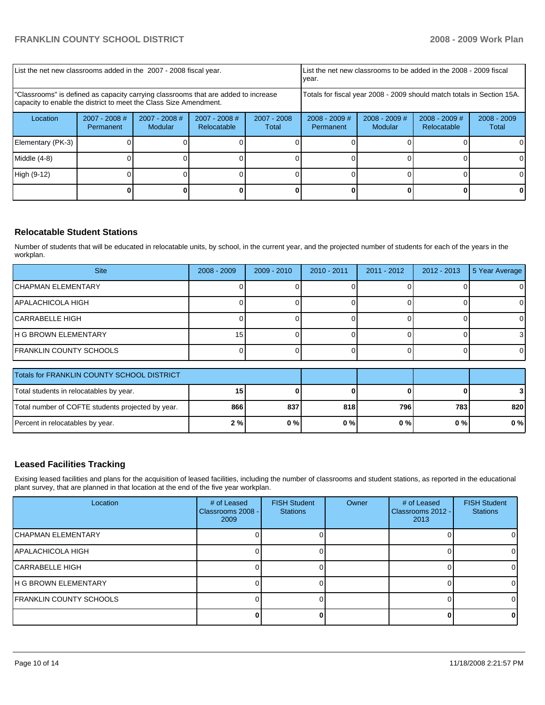| List the net new classrooms added in the 2007 - 2008 fiscal year.                                                                                       |                                                                        |                                   |                                |                        | List the net new classrooms to be added in the 2008 - 2009 fiscal<br>year. |                            |                                |                        |
|---------------------------------------------------------------------------------------------------------------------------------------------------------|------------------------------------------------------------------------|-----------------------------------|--------------------------------|------------------------|----------------------------------------------------------------------------|----------------------------|--------------------------------|------------------------|
| "Classrooms" is defined as capacity carrying classrooms that are added to increase<br>capacity to enable the district to meet the Class Size Amendment. | Totals for fiscal year 2008 - 2009 should match totals in Section 15A. |                                   |                                |                        |                                                                            |                            |                                |                        |
| Location                                                                                                                                                | 2007 - 2008 #<br>Permanent                                             | $2007 - 2008$ #<br><b>Modular</b> | $2007 - 2008$ #<br>Relocatable | $2007 - 2008$<br>Total | $2008 - 2009$ #<br>Permanent                                               | $2008 - 2009$ #<br>Modular | $2008 - 2009$ #<br>Relocatable | $2008 - 2009$<br>Total |
| Elementary (PK-3)                                                                                                                                       |                                                                        |                                   |                                |                        |                                                                            |                            |                                |                        |
| Middle (4-8)                                                                                                                                            |                                                                        |                                   |                                |                        |                                                                            |                            |                                |                        |
| High (9-12)                                                                                                                                             |                                                                        |                                   |                                |                        |                                                                            |                            |                                | 0                      |
|                                                                                                                                                         |                                                                        |                                   |                                |                        |                                                                            |                            |                                |                        |

# **Relocatable Student Stations**

Number of students that will be educated in relocatable units, by school, in the current year, and the projected number of students for each of the years in the workplan.

| <b>Site</b>                                | $2008 - 2009$ | $2009 - 2010$ | $2010 - 2011$ | $2011 - 2012$ | $2012 - 2013$ | 5 Year Average |
|--------------------------------------------|---------------|---------------|---------------|---------------|---------------|----------------|
| <b>CHAPMAN ELEMENTARY</b>                  |               |               |               |               |               | 01             |
| APALACHICOLA HIGH                          |               |               |               |               |               | 0              |
| CARRABELLE HIGH                            |               |               |               |               |               | ΟI             |
| <b>H G BROWN ELEMENTARY</b>                | 15            |               |               |               |               |                |
| <b>FRANKLIN COUNTY SCHOOLS</b>             |               |               |               |               |               | 01             |
| Totals for FRANKLIN COUNTY SCHOOL DISTRICT |               |               |               |               |               |                |
|                                            |               |               |               |               |               |                |

| Total students in relocatables by year.           | טו  |     |       |       | 01  |       |
|---------------------------------------------------|-----|-----|-------|-------|-----|-------|
| Total number of COFTE students projected by year. | 866 | 837 | 818   | 796   | 783 | 820 l |
| Percent in relocatables by year.                  | 2%  | 0%  | $0\%$ | 0 % I | 0%  | 0 % I |

# **Leased Facilities Tracking**

Exising leased facilities and plans for the acquisition of leased facilities, including the number of classrooms and student stations, as reported in the educational plant survey, that are planned in that location at the end of the five year workplan.

| Location                   | # of Leased<br>Classrooms 2008 -<br>2009 | <b>FISH Student</b><br><b>Stations</b> | Owner | # of Leased<br>Classrooms 2012 -<br>2013 | <b>FISH Student</b><br><b>Stations</b> |
|----------------------------|------------------------------------------|----------------------------------------|-------|------------------------------------------|----------------------------------------|
| <b>ICHAPMAN ELEMENTARY</b> |                                          |                                        |       |                                          |                                        |
| APALACHICOLA HIGH          |                                          |                                        |       |                                          |                                        |
| ICARRABELLE HIGH           |                                          |                                        |       |                                          |                                        |
| IH G BROWN ELEMENTARY      |                                          |                                        |       |                                          |                                        |
| FRANKLIN COUNTY SCHOOLS    |                                          |                                        |       |                                          |                                        |
|                            |                                          |                                        |       |                                          |                                        |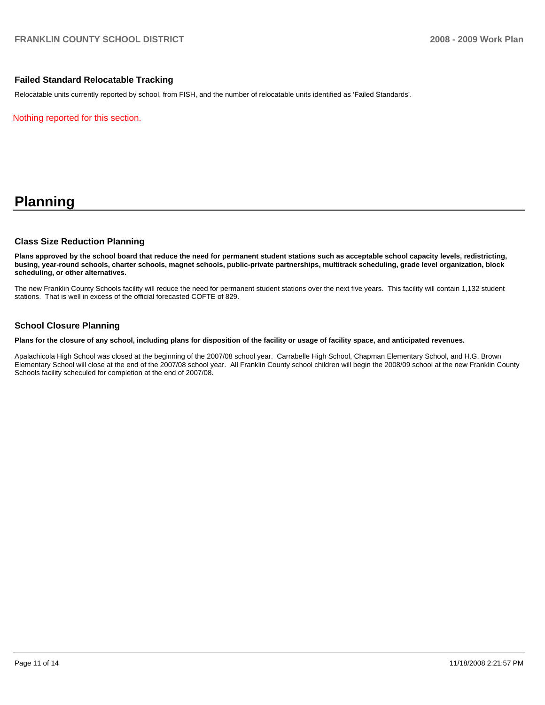### **Failed Standard Relocatable Tracking**

Relocatable units currently reported by school, from FISH, and the number of relocatable units identified as 'Failed Standards'.

Nothing reported for this section.

# **Planning**

#### **Class Size Reduction Planning**

**Plans approved by the school board that reduce the need for permanent student stations such as acceptable school capacity levels, redistricting, busing, year-round schools, charter schools, magnet schools, public-private partnerships, multitrack scheduling, grade level organization, block scheduling, or other alternatives.** 

The new Franklin County Schools facility will reduce the need for permanent student stations over the next five years. This facility will contain 1,132 student stations. That is well in excess of the official forecasted COFTE of 829.

#### **School Closure Planning**

**Plans for the closure of any school, including plans for disposition of the facility or usage of facility space, and anticipated revenues.** 

Apalachicola High School was closed at the beginning of the 2007/08 school year. Carrabelle High School, Chapman Elementary School, and H.G. Brown Elementary School will close at the end of the 2007/08 school year. All Franklin County school children will begin the 2008/09 school at the new Franklin County Schools facility scheculed for completion at the end of 2007/08.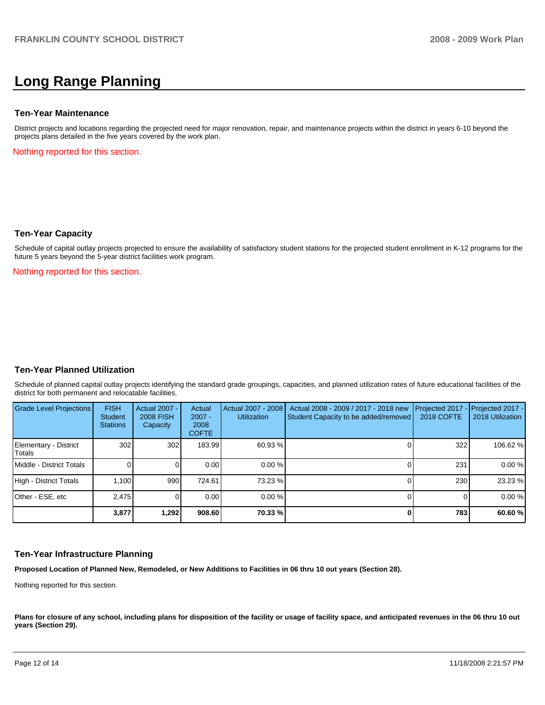# **Long Range Planning**

#### **Ten-Year Maintenance**

District projects and locations regarding the projected need for major renovation, repair, and maintenance projects within the district in years 6-10 beyond the projects plans detailed in the five years covered by the work plan.

Nothing reported for this section.

#### **Ten-Year Capacity**

Schedule of capital outlay projects projected to ensure the availability of satisfactory student stations for the projected student enrollment in K-12 programs for the future 5 years beyond the 5-year district facilities work program.

Nothing reported for this section.

#### **Ten-Year Planned Utilization**

Schedule of planned capital outlay projects identifying the standard grade groupings, capacities, and planned utilization rates of future educational facilities of the district for both permanent and relocatable facilities.

| Grade Level Projections         | <b>FISH</b><br>Student<br><b>Stations</b> | <b>Actual 2007 -</b><br><b>2008 FISH</b><br>Capacity | Actual<br>$2007 -$<br>2008<br><b>COFTE</b> | Actual 2007 - 2008<br><b>Utilization</b> | Actual 2008 - 2009 / 2017 - 2018 new<br>Student Capacity to be added/removed | <b>2018 COFTE</b> | Projected 2017 - Projected 2017 -<br>2018 Utilization |
|---------------------------------|-------------------------------------------|------------------------------------------------------|--------------------------------------------|------------------------------------------|------------------------------------------------------------------------------|-------------------|-------------------------------------------------------|
| Elementary - District<br>Totals | 302                                       | 302                                                  | 183.99                                     | 60.93 %                                  |                                                                              | 322               | 106.62 %                                              |
| Middle - District Totals        |                                           |                                                      | 0.00                                       | $0.00\%$                                 |                                                                              | 231               | 0.00%                                                 |
| High - District Totals          | 1.100                                     | 990                                                  | 724.61                                     | 73.23 %                                  |                                                                              | 230               | 23.23 %                                               |
| Other - ESE, etc                | 2.475                                     |                                                      | 0.00                                       | $0.00 \%$                                |                                                                              |                   | 0.00%                                                 |
|                                 | 3,877                                     | 1,292                                                | 908.60                                     | 70.33 %                                  |                                                                              | 783               | 60.60 %                                               |

#### **Ten-Year Infrastructure Planning**

**Proposed Location of Planned New, Remodeled, or New Additions to Facilities in 06 thru 10 out years (Section 28).** 

Nothing reported for this section.

Plans for closure of any school, including plans for disposition of the facility or usage of facility space, and anticipated revenues in the 06 thru 10 out **years (Section 29).**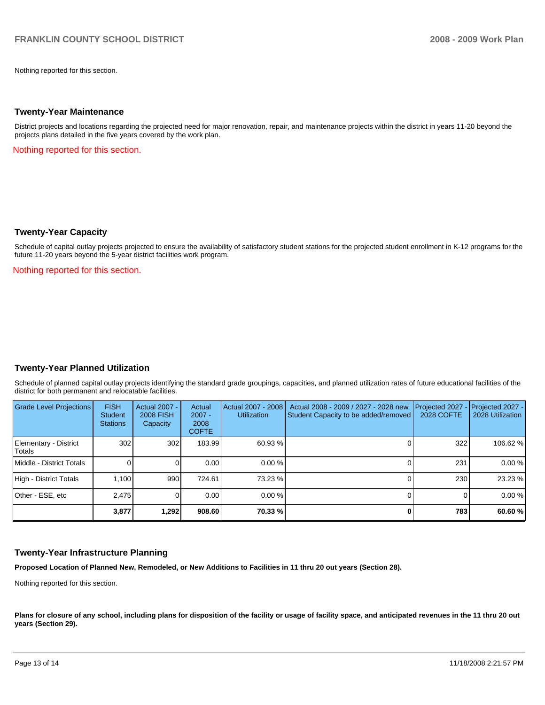Nothing reported for this section.

#### **Twenty-Year Maintenance**

District projects and locations regarding the projected need for major renovation, repair, and maintenance projects within the district in years 11-20 beyond the projects plans detailed in the five years covered by the work plan.

Nothing reported for this section.

#### **Twenty-Year Capacity**

Schedule of capital outlay projects projected to ensure the availability of satisfactory student stations for the projected student enrollment in K-12 programs for the future 11-20 years beyond the 5-year district facilities work program.

Nothing reported for this section.

# **Twenty-Year Planned Utilization**

Schedule of planned capital outlay projects identifying the standard grade groupings, capacities, and planned utilization rates of future educational facilities of the district for both permanent and relocatable facilities.

| Grade Level Projections         | <b>FISH</b><br><b>Student</b><br><b>Stations</b> | Actual 2007 -<br><b>2008 FISH</b><br>Capacity | Actual<br>$2007 -$<br>2008<br><b>COFTE</b> | Actual 2007 - 2008<br><b>Utilization</b> | Actual 2008 - 2009 / 2027 - 2028 new<br>Student Capacity to be added/removed | Projected 2027<br>2028 COFTE | $-$ Projected 2027 -<br>2028 Utilization |
|---------------------------------|--------------------------------------------------|-----------------------------------------------|--------------------------------------------|------------------------------------------|------------------------------------------------------------------------------|------------------------------|------------------------------------------|
| Elementary - District<br>Totals | 302                                              | 302                                           | 183.99                                     | 60.93 %                                  |                                                                              | 322                          | 106.62 %                                 |
| Middle - District Totals        |                                                  |                                               | 0.00                                       | 0.00%                                    |                                                                              | 231                          | 0.00%                                    |
| High - District Totals          | 1.100                                            | 990                                           | 724.61                                     | 73.23 %                                  |                                                                              | 230                          | 23.23 %                                  |
| Other - ESE, etc                | 2.475                                            |                                               | 0.00                                       | 0.00%                                    |                                                                              |                              | 0.00%                                    |
|                                 | 3,877                                            | 1.292                                         | 908.60                                     | 70.33 %                                  |                                                                              | 783                          | 60.60 %                                  |

#### **Twenty-Year Infrastructure Planning**

**Proposed Location of Planned New, Remodeled, or New Additions to Facilities in 11 thru 20 out years (Section 28).** 

Nothing reported for this section.

Plans for closure of any school, including plans for disposition of the facility or usage of facility space, and anticipated revenues in the 11 thru 20 out **years (Section 29).**